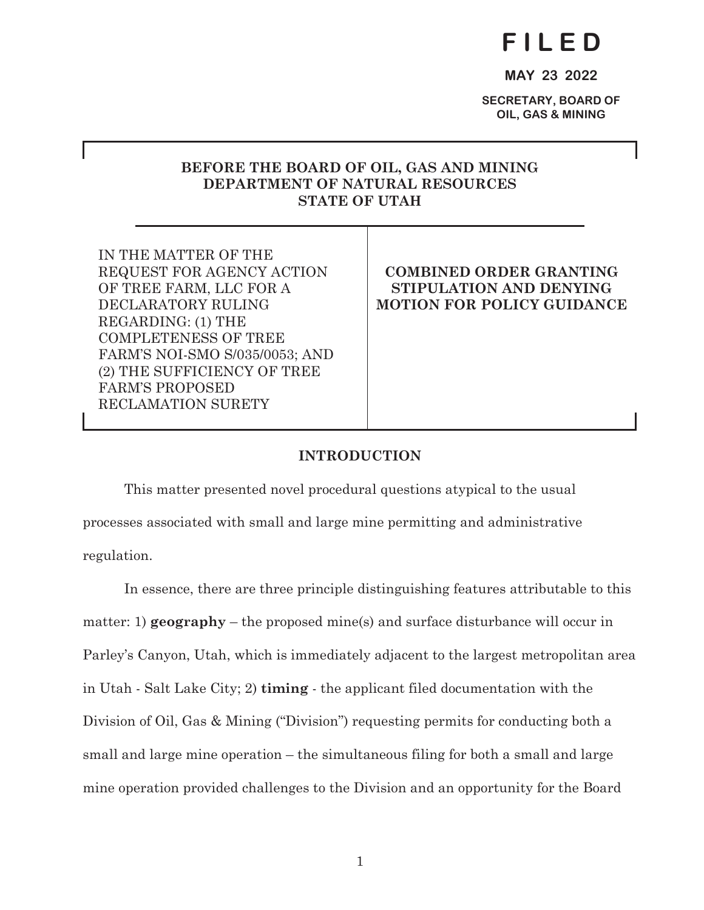# **F I L E D**

**MAY 23 2022** 

**SECRETARY, BOARD OF OIL, GAS & MINING** 

# **BEFORE THE BOARD OF OIL, GAS AND MINING DEPARTMENT OF NATURAL RESOURCES STATE OF UTAH**

IN THE MATTER OF THE REQUEST FOR AGENCY ACTION OF TREE FARM, LLC FOR A DECLARATORY RULING REGARDING: (1) THE COMPLETENESS OF TREE FARM'S NOI-SMO S/035/0053; AND (2) THE SUFFICIENCY OF TREE FARM'S PROPOSED RECLAMATION SURETY

# **COMBINED ORDER GRANTING STIPULATION AND DENYING MOTION FOR POLICY GUIDANCE**

# **INTRODUCTION**

 This matter presented novel procedural questions atypical to the usual processes associated with small and large mine permitting and administrative regulation.

 In essence, there are three principle distinguishing features attributable to this matter: 1) **geography** – the proposed mine(s) and surface disturbance will occur in Parley's Canyon, Utah, which is immediately adjacent to the largest metropolitan area in Utah - Salt Lake City; 2) **timing** - the applicant filed documentation with the Division of Oil, Gas & Mining ("Division") requesting permits for conducting both a small and large mine operation – the simultaneous filing for both a small and large mine operation provided challenges to the Division and an opportunity for the Board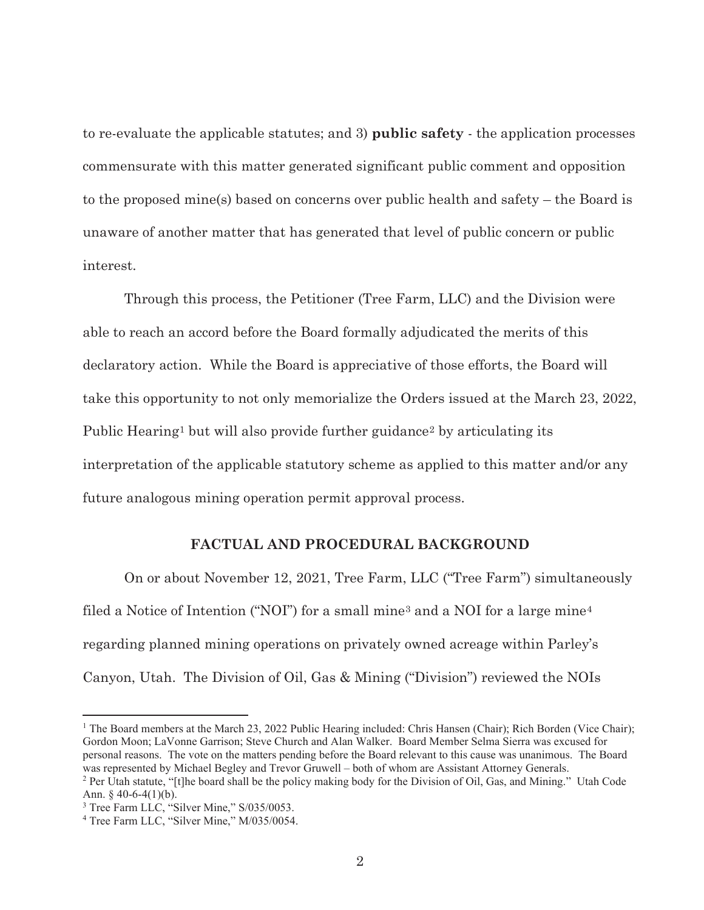to re-evaluate the applicable statutes; and 3) **public safety** - the application processes commensurate with this matter generated significant public comment and opposition to the proposed mine(s) based on concerns over public health and safety – the Board is unaware of another matter that has generated that level of public concern or public interest.

 Through this process, the Petitioner (Tree Farm, LLC) and the Division were able to reach an accord before the Board formally adjudicated the merits of this declaratory action. While the Board is appreciative of those efforts, the Board will take this opportunity to not only memorialize the Orders issued at the March 23, 2022, Public Hearing<sup>1</sup> but will also provide further guidance<sup>2</sup> by articulating its interpretation of the applicable statutory scheme as applied to this matter and/or any future analogous mining operation permit approval process.

#### **FACTUAL AND PROCEDURAL BACKGROUND**

 On or about November 12, 2021, Tree Farm, LLC ("Tree Farm") simultaneously filed a Notice of Intention ("NOI") for a small mine<sup>3</sup> and a NOI for a large mine<sup>4</sup> regarding planned mining operations on privately owned acreage within Parley's Canyon, Utah. The Division of Oil, Gas & Mining ("Division") reviewed the NOIs

<sup>&</sup>lt;sup>1</sup> The Board members at the March 23, 2022 Public Hearing included: Chris Hansen (Chair); Rich Borden (Vice Chair); Gordon Moon; LaVonne Garrison; Steve Church and Alan Walker. Board Member Selma Sierra was excused for personal reasons. The vote on the matters pending before the Board relevant to this cause was unanimous. The Board was represented by Michael Begley and Trevor Gruwell – both of whom are Assistant Attorney Generals. <sup>2</sup> Per Utah statute, "[t]he board shall be the policy making body for the Division of Oil, Gas, and Mining." Utah Code

Ann.  $\frac{6}{9}$  40-6-4(1)(b).

<sup>&</sup>lt;sup>3</sup> Tree Farm LLC, "Silver Mine," S/035/0053.<br><sup>4</sup> Tree Farm LLC, "Silver Mine," M/035/0054.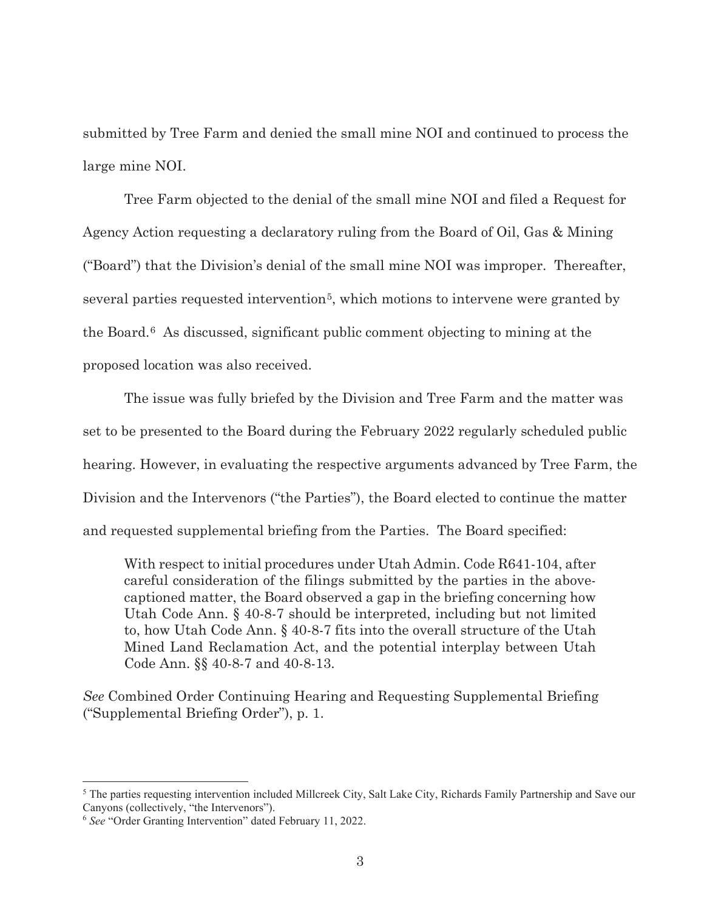submitted by Tree Farm and denied the small mine NOI and continued to process the large mine NOI.

 Tree Farm objected to the denial of the small mine NOI and filed a Request for Agency Action requesting a declaratory ruling from the Board of Oil, Gas & Mining ("Board") that the Division's denial of the small mine NOI was improper. Thereafter, several parties requested intervention5, which motions to intervene were granted by the Board.6 As discussed, significant public comment objecting to mining at the proposed location was also received.

 The issue was fully briefed by the Division and Tree Farm and the matter was set to be presented to the Board during the February 2022 regularly scheduled public hearing. However, in evaluating the respective arguments advanced by Tree Farm, the Division and the Intervenors ("the Parties"), the Board elected to continue the matter and requested supplemental briefing from the Parties. The Board specified:

With respect to initial procedures under Utah Admin. Code R641-104, after careful consideration of the filings submitted by the parties in the abovecaptioned matter, the Board observed a gap in the briefing concerning how Utah Code Ann. § 40-8-7 should be interpreted, including but not limited to, how Utah Code Ann. § 40-8-7 fits into the overall structure of the Utah Mined Land Reclamation Act, and the potential interplay between Utah Code Ann. §§ 40-8-7 and 40-8-13.

*See* Combined Order Continuing Hearing and Requesting Supplemental Briefing ("Supplemental Briefing Order"), p. 1.

<sup>&</sup>lt;sup>5</sup> The parties requesting intervention included Millcreek City, Salt Lake City, Richards Family Partnership and Save our Canyons (collectively, "the Intervenors").

<sup>6</sup> *See* "Order Granting Intervention" dated February 11, 2022.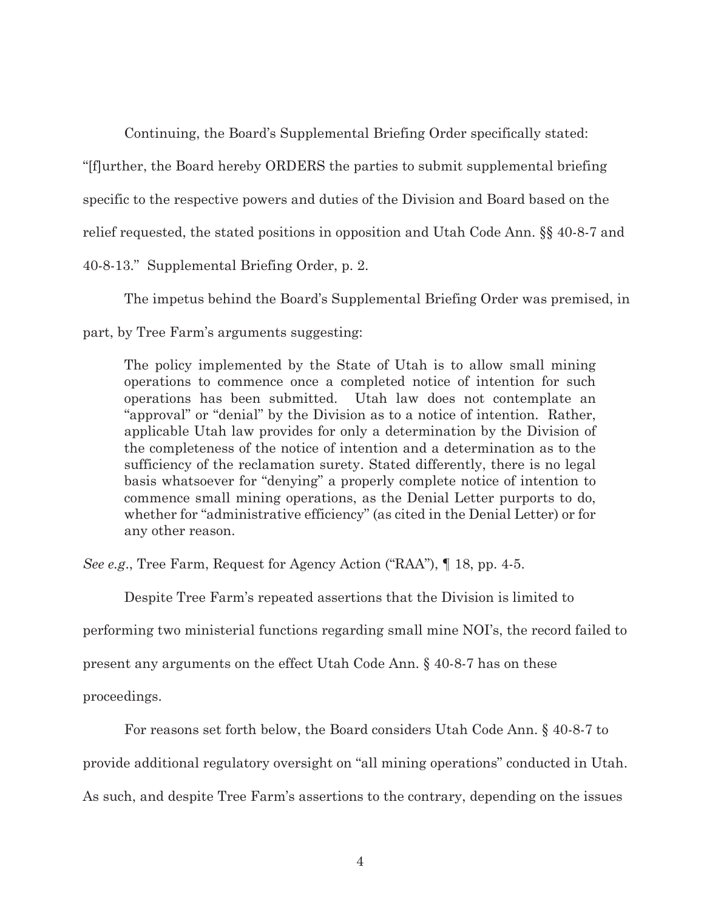Continuing, the Board's Supplemental Briefing Order specifically stated: "[f]urther, the Board hereby ORDERS the parties to submit supplemental briefing specific to the respective powers and duties of the Division and Board based on the relief requested, the stated positions in opposition and Utah Code Ann. §§ 40-8-7 and 40-8-13." Supplemental Briefing Order, p. 2.

 The impetus behind the Board's Supplemental Briefing Order was premised, in part, by Tree Farm's arguments suggesting:

The policy implemented by the State of Utah is to allow small mining operations to commence once a completed notice of intention for such operations has been submitted. Utah law does not contemplate an "approval" or "denial" by the Division as to a notice of intention. Rather, applicable Utah law provides for only a determination by the Division of the completeness of the notice of intention and a determination as to the sufficiency of the reclamation surety. Stated differently, there is no legal basis whatsoever for "denying" a properly complete notice of intention to commence small mining operations, as the Denial Letter purports to do, whether for "administrative efficiency" (as cited in the Denial Letter) or for any other reason.

*See e.g*., Tree Farm, Request for Agency Action ("RAA"), ¶ 18, pp. 4-5.

Despite Tree Farm's repeated assertions that the Division is limited to

performing two ministerial functions regarding small mine NOI's, the record failed to

present any arguments on the effect Utah Code Ann. § 40-8-7 has on these

proceedings.

For reasons set forth below, the Board considers Utah Code Ann. § 40-8-7 to

provide additional regulatory oversight on "all mining operations" conducted in Utah.

As such, and despite Tree Farm's assertions to the contrary, depending on the issues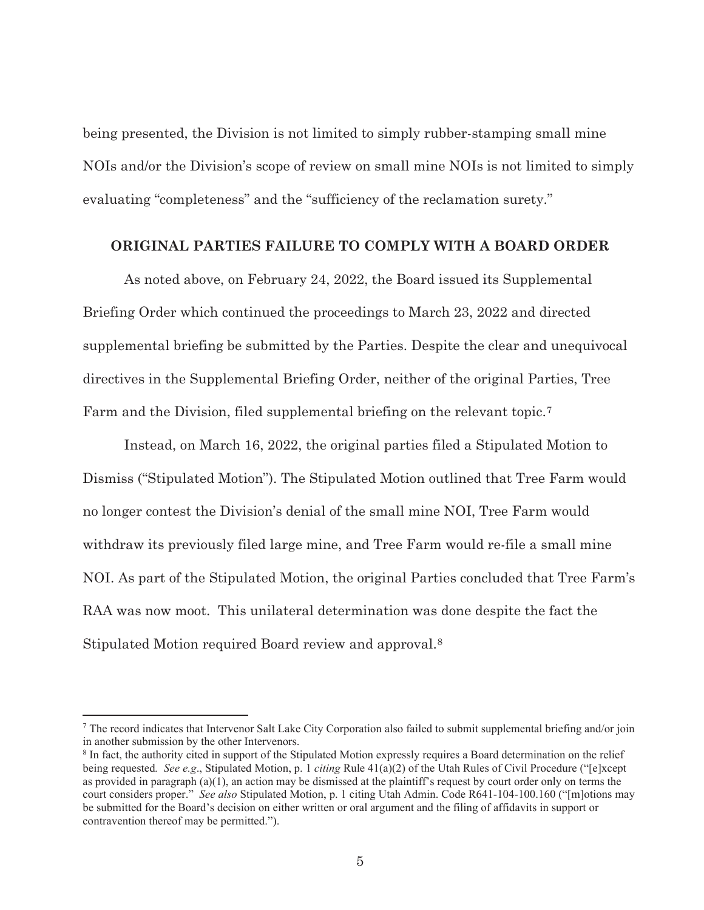being presented, the Division is not limited to simply rubber-stamping small mine NOIs and/or the Division's scope of review on small mine NOIs is not limited to simply evaluating "completeness" and the "sufficiency of the reclamation surety."

#### **ORIGINAL PARTIES FAILURE TO COMPLY WITH A BOARD ORDER**

 As noted above, on February 24, 2022, the Board issued its Supplemental Briefing Order which continued the proceedings to March 23, 2022 and directed supplemental briefing be submitted by the Parties. Despite the clear and unequivocal directives in the Supplemental Briefing Order, neither of the original Parties, Tree Farm and the Division, filed supplemental briefing on the relevant topic.7

 Instead, on March 16, 2022, the original parties filed a Stipulated Motion to Dismiss ("Stipulated Motion"). The Stipulated Motion outlined that Tree Farm would no longer contest the Division's denial of the small mine NOI, Tree Farm would withdraw its previously filed large mine, and Tree Farm would re-file a small mine NOI. As part of the Stipulated Motion, the original Parties concluded that Tree Farm's RAA was now moot. This unilateral determination was done despite the fact the Stipulated Motion required Board review and approval.8

 $^7$  The record indicates that Intervenor Salt Lake City Corporation also failed to submit supplemental briefing and/or join in another submission by the other Intervenors.

<sup>&</sup>lt;sup>8</sup> In fact, the authority cited in support of the Stipulated Motion expressly requires a Board determination on the relief being requested*. See e.g*., Stipulated Motion, p. 1 *citing* Rule 41(a)(2) of the Utah Rules of Civil Procedure ("[e]xcept as provided in paragraph (a)(1), an action may be dismissed at the plaintiff's request by court order only on terms the court considers proper." *See also* Stipulated Motion, p. 1 citing Utah Admin. Code R641-104-100.160 ("[m]otions may be submitted for the Board's decision on either written or oral argument and the filing of affidavits in support or contravention thereof may be permitted.").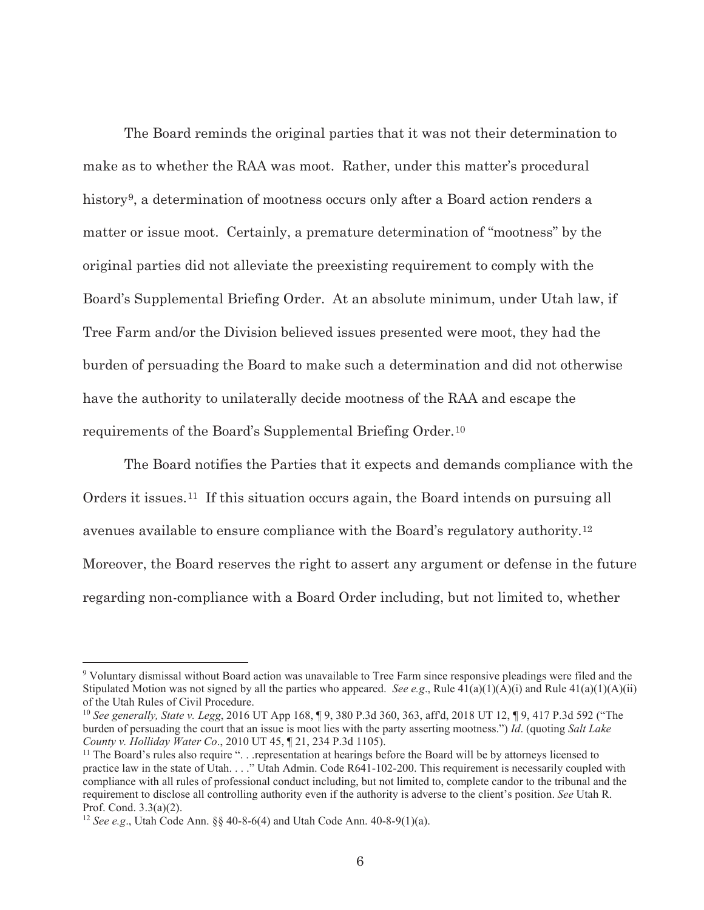The Board reminds the original parties that it was not their determination to make as to whether the RAA was moot. Rather, under this matter's procedural history<sup>9</sup>, a determination of mootness occurs only after a Board action renders a matter or issue moot. Certainly, a premature determination of "mootness" by the original parties did not alleviate the preexisting requirement to comply with the Board's Supplemental Briefing Order. At an absolute minimum, under Utah law, if Tree Farm and/or the Division believed issues presented were moot, they had the burden of persuading the Board to make such a determination and did not otherwise have the authority to unilaterally decide mootness of the RAA and escape the requirements of the Board's Supplemental Briefing Order.10

 The Board notifies the Parties that it expects and demands compliance with the Orders it issues.11 If this situation occurs again, the Board intends on pursuing all avenues available to ensure compliance with the Board's regulatory authority.12 Moreover, the Board reserves the right to assert any argument or defense in the future regarding non-compliance with a Board Order including, but not limited to, whether

<sup>&</sup>lt;sup>9</sup> Voluntary dismissal without Board action was unavailable to Tree Farm since responsive pleadings were filed and the Stipulated Motion was not signed by all the parties who appeared. *See e.g.*, Rule  $41(a)(1)(A)(i)$  and Rule  $41(a)(1)(A)(ii)$ of the Utah Rules of Civil Procedure.

<sup>10</sup> *See generally, State v. Legg*, 2016 UT App 168, ¶ 9, 380 P.3d 360, 363, aff'd, 2018 UT 12, ¶ 9, 417 P.3d 592 ("The burden of persuading the court that an issue is moot lies with the party asserting mootness.") *Id*. (quoting *Salt Lake County v. Holliday Water Co.*, 2010 UT 45, ¶ 21, 234 P.3d 1105).<br><sup>11</sup> The Board's rules also require ". . . representation at hearings before the Board will be by attorneys licensed to

practice law in the state of Utah. . . ." Utah Admin. Code R641-102-200. This requirement is necessarily coupled with compliance with all rules of professional conduct including, but not limited to, complete candor to the tribunal and the requirement to disclose all controlling authority even if the authority is adverse to the client's position. *See* Utah R. Prof. Cond. 3.3(a)(2).

<sup>12</sup> *See e.g*., Utah Code Ann. §§ 40-8-6(4) and Utah Code Ann. 40-8-9(1)(a).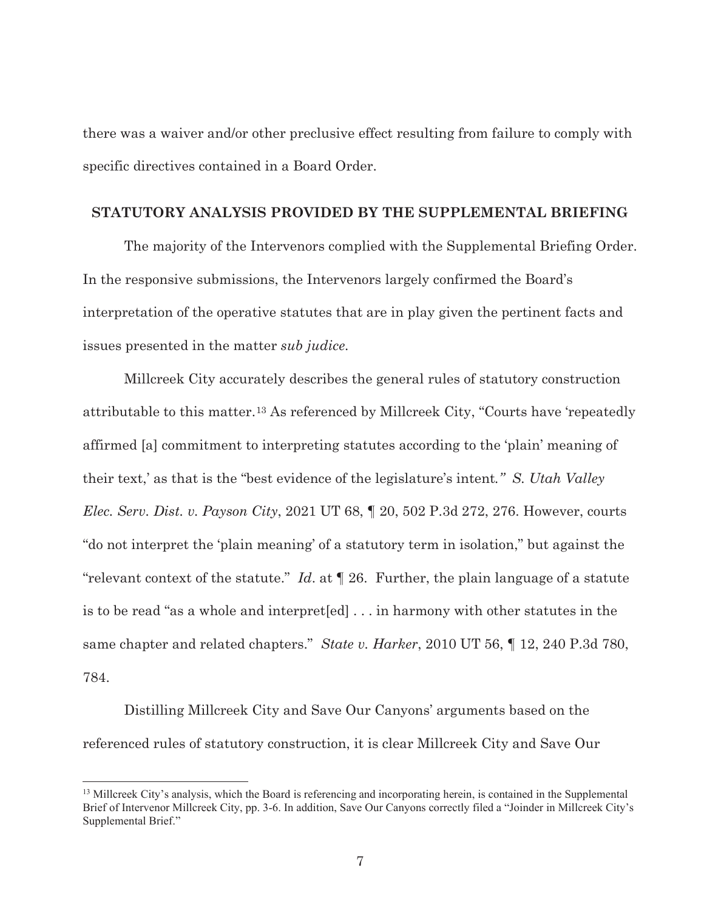there was a waiver and/or other preclusive effect resulting from failure to comply with specific directives contained in a Board Order.

### **STATUTORY ANALYSIS PROVIDED BY THE SUPPLEMENTAL BRIEFING**

 The majority of the Intervenors complied with the Supplemental Briefing Order. In the responsive submissions, the Intervenors largely confirmed the Board's interpretation of the operative statutes that are in play given the pertinent facts and issues presented in the matter *sub judice*.

 Millcreek City accurately describes the general rules of statutory construction attributable to this matter.13 As referenced by Millcreek City, "Courts have 'repeatedly affirmed [a] commitment to interpreting statutes according to the 'plain' meaning of their text,' as that is the "best evidence of the legislature's intent*." S. Utah Valley Elec. Serv. Dist. v. Payson City*, 2021 UT 68, ¶ 20, 502 P.3d 272, 276. However, courts "do not interpret the 'plain meaning' of a statutory term in isolation," but against the "relevant context of the statute." *Id*. at ¶ 26. Further, the plain language of a statute is to be read "as a whole and interpret[ed] . . . in harmony with other statutes in the same chapter and related chapters." *State v. Harker*, 2010 UT 56, ¶ 12, 240 P.3d 780, 784.

 Distilling Millcreek City and Save Our Canyons' arguments based on the referenced rules of statutory construction, it is clear Millcreek City and Save Our

 $<sup>13</sup>$  Millcreek City's analysis, which the Board is referencing and incorporating herein, is contained in the Supplemental</sup> Brief of Intervenor Millcreek City, pp. 3-6. In addition, Save Our Canyons correctly filed a "Joinder in Millcreek City's Supplemental Brief."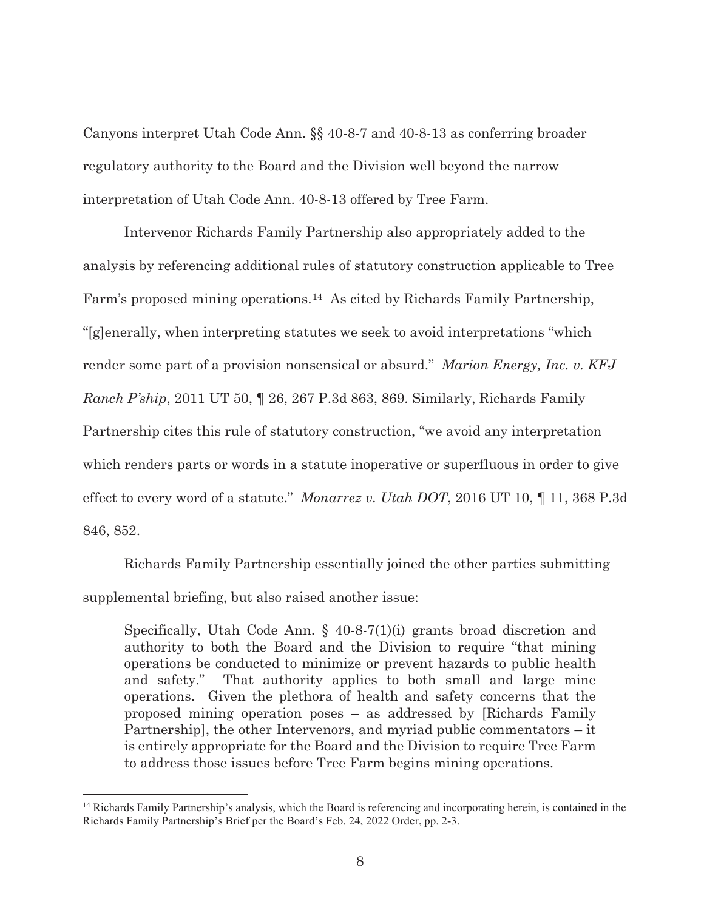Canyons interpret Utah Code Ann. §§ 40-8-7 and 40-8-13 as conferring broader regulatory authority to the Board and the Division well beyond the narrow interpretation of Utah Code Ann. 40-8-13 offered by Tree Farm.

 Intervenor Richards Family Partnership also appropriately added to the analysis by referencing additional rules of statutory construction applicable to Tree Farm's proposed mining operations.14 As cited by Richards Family Partnership, "[g]enerally, when interpreting statutes we seek to avoid interpretations "which render some part of a provision nonsensical or absurd." *Marion Energy, Inc. v. KFJ Ranch P'ship*, 2011 UT 50, ¶ 26, 267 P.3d 863, 869. Similarly, Richards Family Partnership cites this rule of statutory construction, "we avoid any interpretation which renders parts or words in a statute inoperative or superfluous in order to give effect to every word of a statute." *Monarrez v. Utah DOT*, 2016 UT 10, ¶ 11, 368 P.3d 846, 852.

 Richards Family Partnership essentially joined the other parties submitting supplemental briefing, but also raised another issue:

Specifically, Utah Code Ann. § 40-8-7(1)(i) grants broad discretion and authority to both the Board and the Division to require "that mining operations be conducted to minimize or prevent hazards to public health and safety." That authority applies to both small and large mine operations. Given the plethora of health and safety concerns that the proposed mining operation poses – as addressed by [Richards Family Partnership], the other Intervenors, and myriad public commentators – it is entirely appropriate for the Board and the Division to require Tree Farm to address those issues before Tree Farm begins mining operations.

<sup>&</sup>lt;sup>14</sup> Richards Family Partnership's analysis, which the Board is referencing and incorporating herein, is contained in the Richards Family Partnership's Brief per the Board's Feb. 24, 2022 Order, pp. 2-3.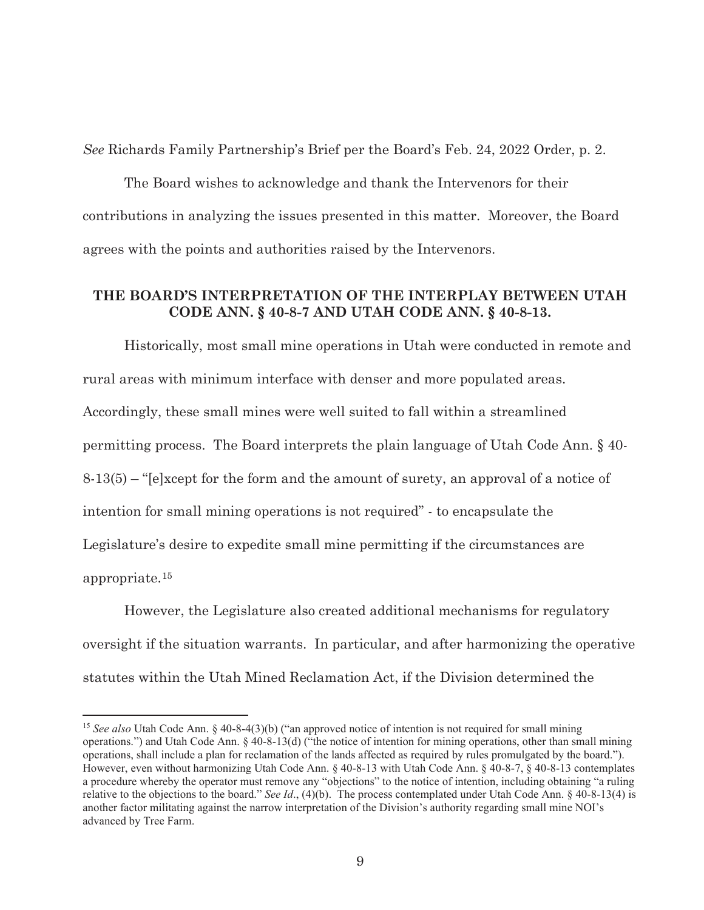*See* Richards Family Partnership's Brief per the Board's Feb. 24, 2022 Order, p. 2.

 The Board wishes to acknowledge and thank the Intervenors for their contributions in analyzing the issues presented in this matter. Moreover, the Board agrees with the points and authorities raised by the Intervenors.

## **THE BOARD'S INTERPRETATION OF THE INTERPLAY BETWEEN UTAH CODE ANN. § 40-8-7 AND UTAH CODE ANN. § 40-8-13.**

 Historically, most small mine operations in Utah were conducted in remote and rural areas with minimum interface with denser and more populated areas. Accordingly, these small mines were well suited to fall within a streamlined permitting process. The Board interprets the plain language of Utah Code Ann. § 40- 8-13(5) – "[e]xcept for the form and the amount of surety, an approval of a notice of intention for small mining operations is not required" - to encapsulate the Legislature's desire to expedite small mine permitting if the circumstances are appropriate.15

 However, the Legislature also created additional mechanisms for regulatory oversight if the situation warrants. In particular, and after harmonizing the operative statutes within the Utah Mined Reclamation Act, if the Division determined the

<sup>&</sup>lt;sup>15</sup> *See also* Utah Code Ann. § 40-8-4(3)(b) ("an approved notice of intention is not required for small mining operations.") and Utah Code Ann. § 40-8-13(d) ("the notice of intention for mining operations, other than small mining operations, shall include a plan for reclamation of the lands affected as required by rules promulgated by the board."). However, even without harmonizing Utah Code Ann. § 40-8-13 with Utah Code Ann. § 40-8-7, § 40-8-13 contemplates a procedure whereby the operator must remove any "objections" to the notice of intention, including obtaining "a ruling relative to the objections to the board." *See Id*., (4)(b). The process contemplated under Utah Code Ann. § 40-8-13(4) is another factor militating against the narrow interpretation of the Division's authority regarding small mine NOI's advanced by Tree Farm.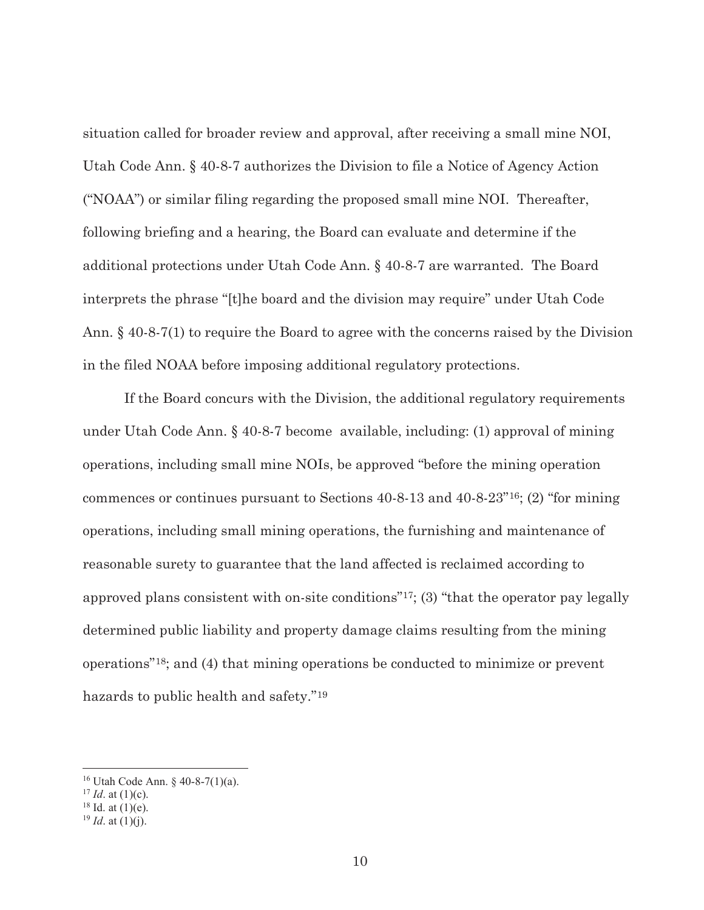situation called for broader review and approval, after receiving a small mine NOI, Utah Code Ann. § 40-8-7 authorizes the Division to file a Notice of Agency Action ("NOAA") or similar filing regarding the proposed small mine NOI. Thereafter, following briefing and a hearing, the Board can evaluate and determine if the additional protections under Utah Code Ann. § 40-8-7 are warranted. The Board interprets the phrase "[t]he board and the division may require" under Utah Code Ann. § 40-8-7(1) to require the Board to agree with the concerns raised by the Division in the filed NOAA before imposing additional regulatory protections.

 If the Board concurs with the Division, the additional regulatory requirements under Utah Code Ann. § 40-8-7 become available, including: (1) approval of mining operations, including small mine NOIs, be approved "before the mining operation commences or continues pursuant to Sections 40-8-13 and 40-8-23"16; (2) "for mining operations, including small mining operations, the furnishing and maintenance of reasonable surety to guarantee that the land affected is reclaimed according to approved plans consistent with on-site conditions"17; (3) "that the operator pay legally determined public liability and property damage claims resulting from the mining operations"18; and (4) that mining operations be conducted to minimize or prevent hazards to public health and safety."19

<sup>16</sup> Utah Code Ann. § 40-8-7(1)(a).

<sup>&</sup>lt;sup>17</sup> *Id.* at (1)(c). <sup>18</sup> Id. at (1)(e).

 $^{19}$  *Id.* at (1)(j).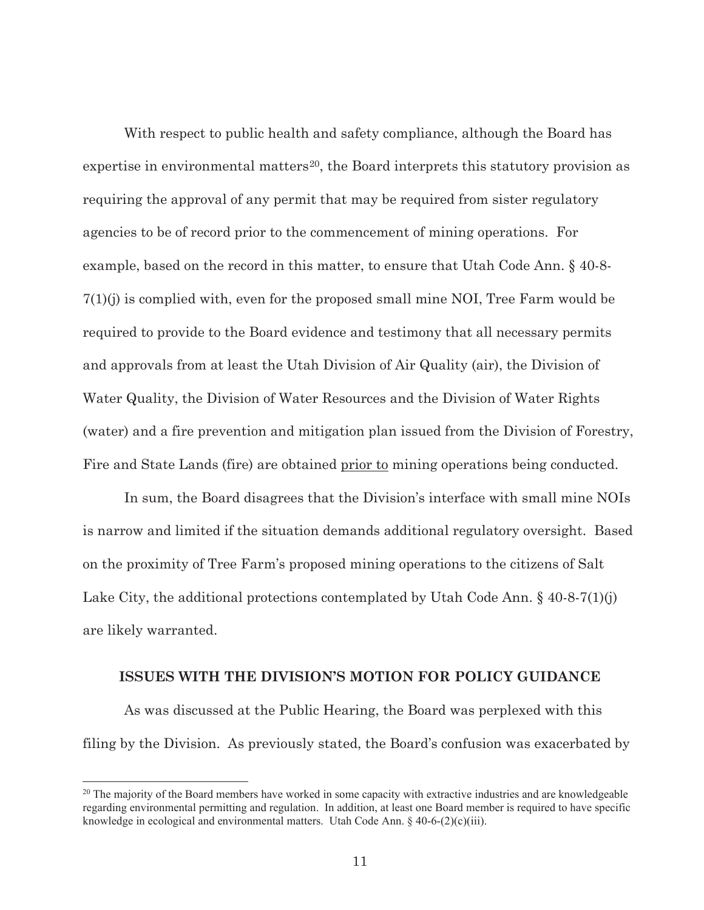With respect to public health and safety compliance, although the Board has expertise in environmental matters<sup>20</sup>, the Board interprets this statutory provision as requiring the approval of any permit that may be required from sister regulatory agencies to be of record prior to the commencement of mining operations. For example, based on the record in this matter, to ensure that Utah Code Ann. § 40-8- 7(1)(j) is complied with, even for the proposed small mine NOI, Tree Farm would be required to provide to the Board evidence and testimony that all necessary permits and approvals from at least the Utah Division of Air Quality (air), the Division of Water Quality, the Division of Water Resources and the Division of Water Rights (water) and a fire prevention and mitigation plan issued from the Division of Forestry, Fire and State Lands (fire) are obtained prior to mining operations being conducted.

 In sum, the Board disagrees that the Division's interface with small mine NOIs is narrow and limited if the situation demands additional regulatory oversight. Based on the proximity of Tree Farm's proposed mining operations to the citizens of Salt Lake City, the additional protections contemplated by Utah Code Ann.  $\S$  40-8-7(1)(j) are likely warranted.

#### **ISSUES WITH THE DIVISION'S MOTION FOR POLICY GUIDANCE**

 As was discussed at the Public Hearing, the Board was perplexed with this filing by the Division. As previously stated, the Board's confusion was exacerbated by

 $20$  The majority of the Board members have worked in some capacity with extractive industries and are knowledgeable regarding environmental permitting and regulation. In addition, at least one Board member is required to have specific knowledge in ecological and environmental matters. Utah Code Ann. § 40-6-(2)(c)(iii).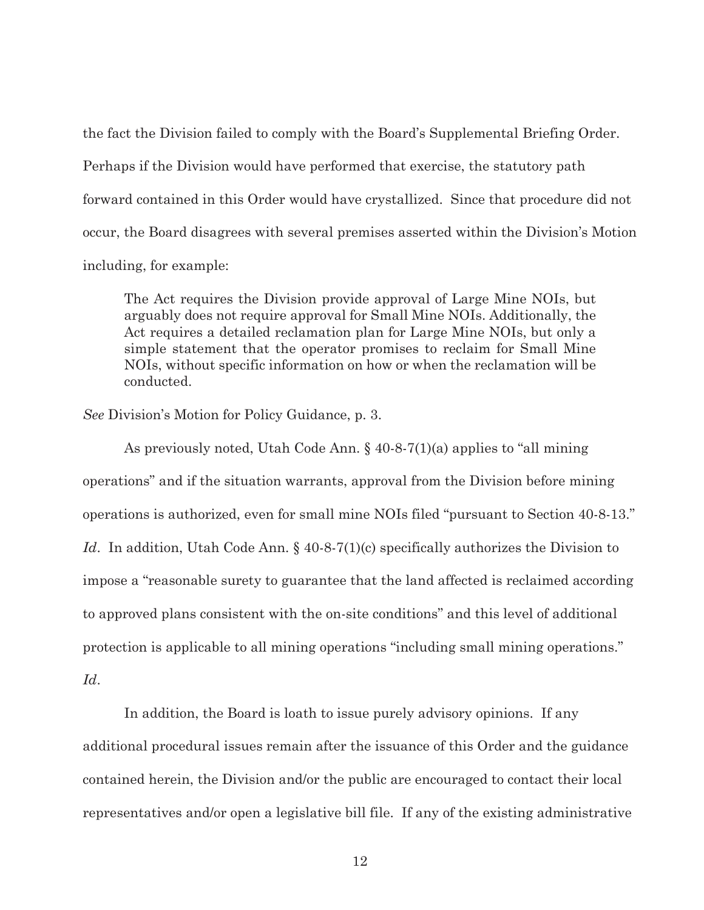the fact the Division failed to comply with the Board's Supplemental Briefing Order. Perhaps if the Division would have performed that exercise, the statutory path forward contained in this Order would have crystallized. Since that procedure did not occur, the Board disagrees with several premises asserted within the Division's Motion including, for example:

The Act requires the Division provide approval of Large Mine NOIs, but arguably does not require approval for Small Mine NOIs. Additionally, the Act requires a detailed reclamation plan for Large Mine NOIs, but only a simple statement that the operator promises to reclaim for Small Mine NOIs, without specific information on how or when the reclamation will be conducted.

*See* Division's Motion for Policy Guidance, p. 3.

 As previously noted, Utah Code Ann. § 40-8-7(1)(a) applies to "all mining operations" and if the situation warrants, approval from the Division before mining operations is authorized, even for small mine NOIs filed "pursuant to Section 40-8-13." *Id.* In addition, Utah Code Ann. § 40-8-7(1)(c) specifically authorizes the Division to impose a "reasonable surety to guarantee that the land affected is reclaimed according to approved plans consistent with the on-site conditions" and this level of additional protection is applicable to all mining operations "including small mining operations." *Id*.

 In addition, the Board is loath to issue purely advisory opinions. If any additional procedural issues remain after the issuance of this Order and the guidance contained herein, the Division and/or the public are encouraged to contact their local representatives and/or open a legislative bill file. If any of the existing administrative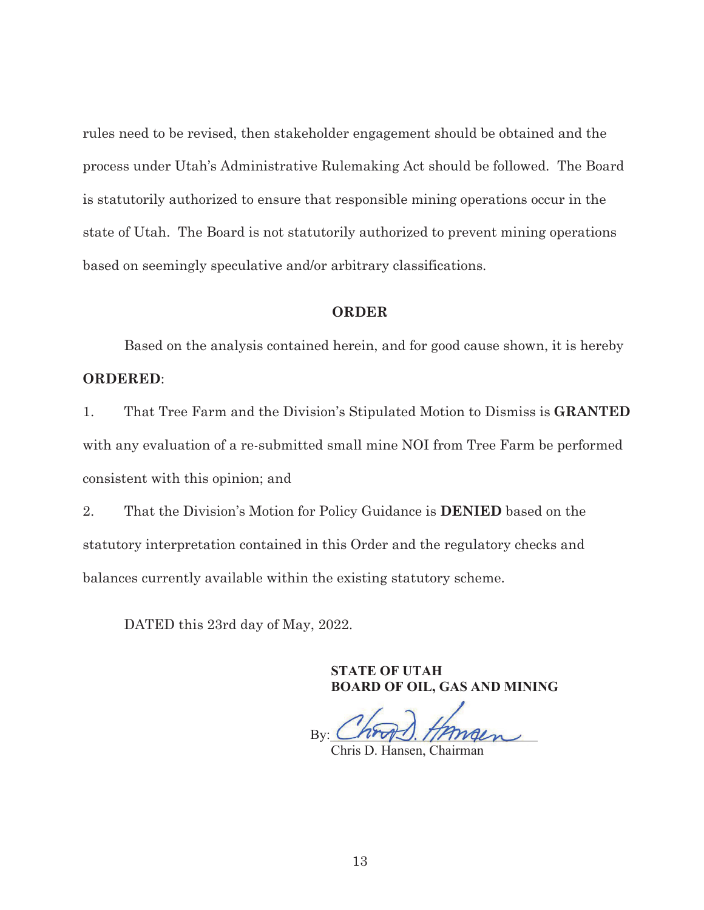rules need to be revised, then stakeholder engagement should be obtained and the process under Utah's Administrative Rulemaking Act should be followed. The Board is statutorily authorized to ensure that responsible mining operations occur in the state of Utah. The Board is not statutorily authorized to prevent mining operations based on seemingly speculative and/or arbitrary classifications.

### **ORDER**

 Based on the analysis contained herein, and for good cause shown, it is hereby **ORDERED**:

1. That Tree Farm and the Division's Stipulated Motion to Dismiss is **GRANTED** with any evaluation of a re-submitted small mine NOI from Tree Farm be performed consistent with this opinion; and

2. That the Division's Motion for Policy Guidance is **DENIED** based on the statutory interpretation contained in this Order and the regulatory checks and balances currently available within the existing statutory scheme.

DATED this 23rd day of May, 2022.

**STATE OF UTAH BOARD OF OIL, GAS AND MINING**

By:

Chris D. Hansen, Chairman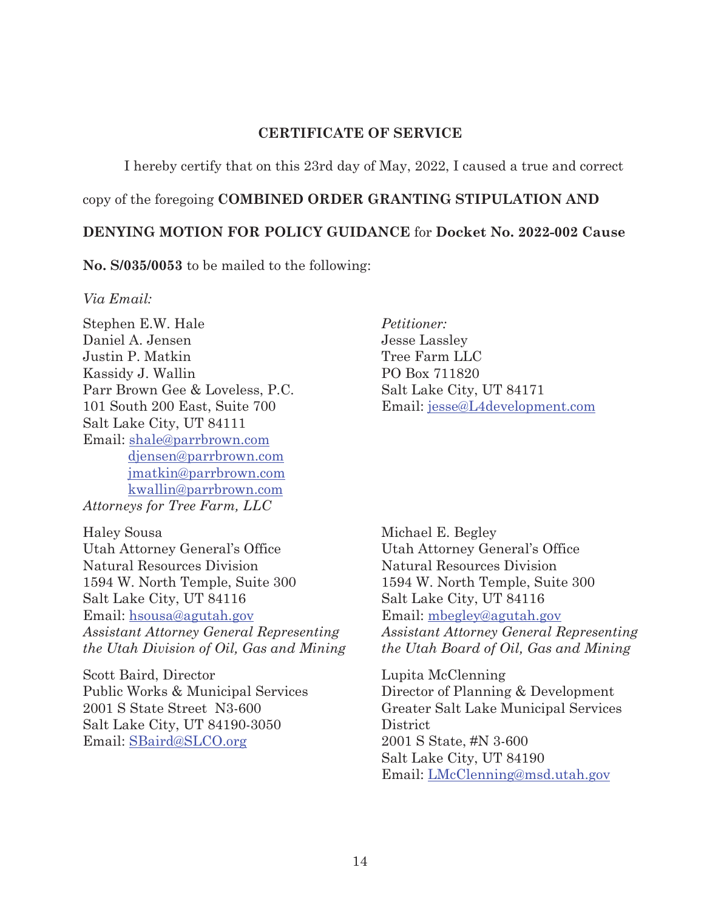## **CERTIFICATE OF SERVICE**

I hereby certify that on this 23rd day of May, 2022, I caused a true and correct

copy of the foregoing **COMBINED ORDER GRANTING STIPULATION AND** 

## **DENYING MOTION FOR POLICY GUIDANCE** for **Docket No. 2022-002 Cause**

**No. S/035/0053** to be mailed to the following:

## *Via Email:*

Stephen E.W. Hale Daniel A. Jensen Justin P. Matkin Kassidy J. Wallin Parr Brown Gee & Loveless, P.C. 101 South 200 East, Suite 700 Salt Lake City, UT 84111 Email: shale@parrbrown.com djensen@parrbrown.com jmatkin@parrbrown.com kwallin@parrbrown.com *Attorneys for Tree Farm, LLC* 

Haley Sousa Utah Attorney General's Office Natural Resources Division 1594 W. North Temple, Suite 300 Salt Lake City, UT 84116 Email: hsousa@agutah.gov *Assistant Attorney General Representing the Utah Division of Oil, Gas and Mining* 

Scott Baird, Director Public Works & Municipal Services 2001 S State Street N3-600 Salt Lake City, UT 84190-3050 Email: SBaird@SLCO.org

*Petitioner:*  Jesse Lassley Tree Farm LLC PO Box 711820 Salt Lake City, UT 84171 Email: jesse@L4development.com

Michael E. Begley Utah Attorney General's Office Natural Resources Division 1594 W. North Temple, Suite 300 Salt Lake City, UT 84116 Email: mbegley@agutah.gov *Assistant Attorney General Representing the Utah Board of Oil, Gas and Mining* 

Lupita McClenning Director of Planning & Development Greater Salt Lake Municipal Services District 2001 S State, #N 3-600 Salt Lake City, UT 84190 Email: LMcClenning@msd.utah.gov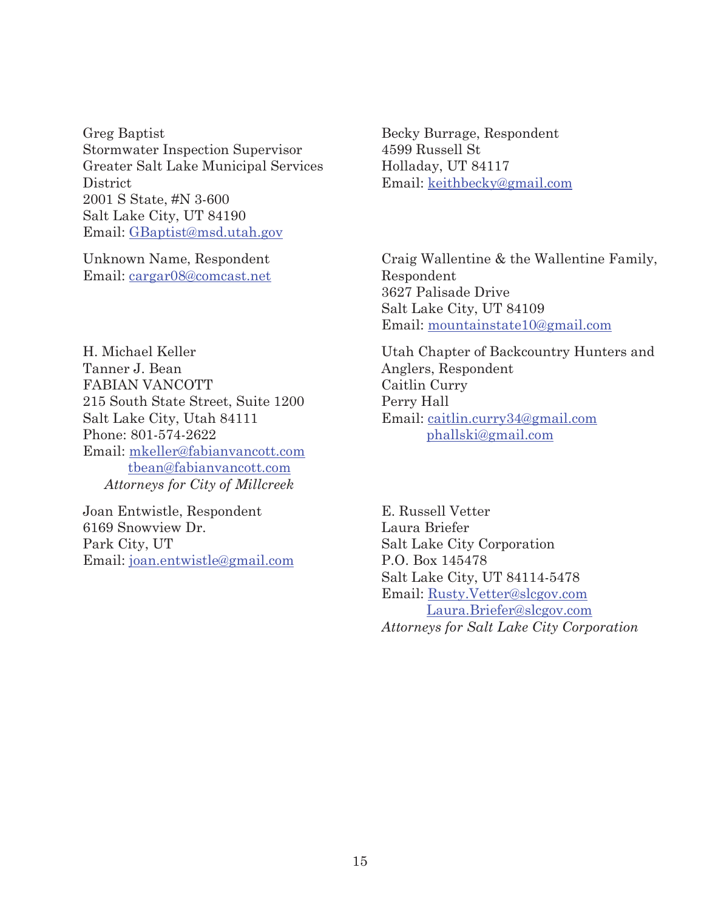Greg Baptist Stormwater Inspection Supervisor Greater Salt Lake Municipal Services **District** 2001 S State, #N 3-600 Salt Lake City, UT 84190 Email: GBaptist@msd.utah.gov

Unknown Name, Respondent Email: cargar08@comcast.net

H. Michael Keller Tanner J. Bean FABIAN VANCOTT 215 South State Street, Suite 1200 Salt Lake City, Utah 84111 Phone: 801-574-2622 Email: mkeller@fabianvancott.com tbean@fabianvancott.com *Attorneys for City of Millcreek* 

Joan Entwistle, Respondent 6169 Snowview Dr. Park City, UT Email: joan.entwistle@gmail.com

Becky Burrage, Respondent 4599 Russell St Holladay, UT 84117 Email: keithbecky@gmail.com

Craig Wallentine & the Wallentine Family, Respondent 3627 Palisade Drive Salt Lake City, UT 84109 Email: mountainstate10@gmail.com

Utah Chapter of Backcountry Hunters and Anglers, Respondent Caitlin Curry Perry Hall Email: caitlin.curry34@gmail.com phallski@gmail.com

E. Russell Vetter Laura Briefer Salt Lake City Corporation P.O. Box 145478 Salt Lake City, UT 84114-5478 Email: Rusty.Vetter@slcgov.com Laura.Briefer@slcgov.com *Attorneys for Salt Lake City Corporation*